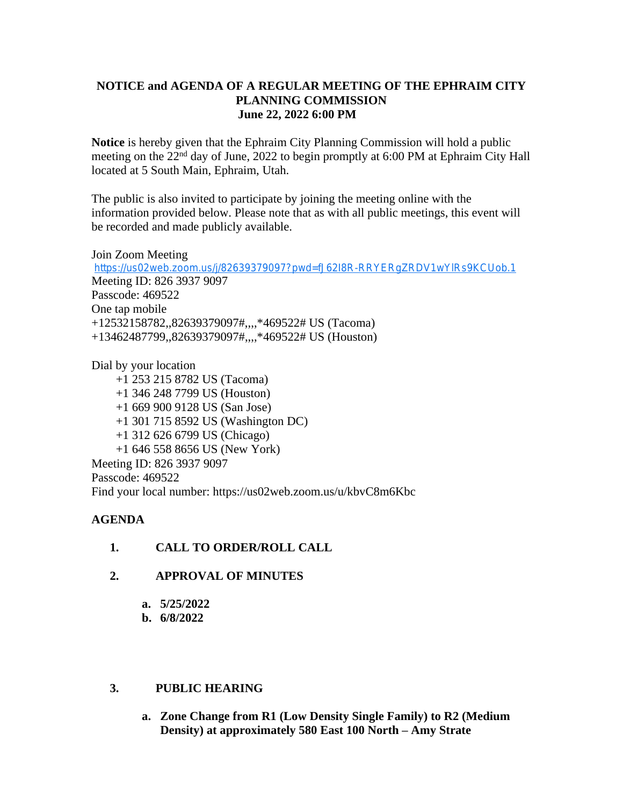## **NOTICE and AGENDA OF A REGULAR MEETING OF THE EPHRAIM CITY PLANNING COMMISSION June 22, 2022 6:00 PM**

**Notice** is hereby given that the Ephraim City Planning Commission will hold a public meeting on the 22<sup>nd</sup> day of June, 2022 to begin promptly at 6:00 PM at Ephraim City Hall located at 5 South Main, Ephraim, Utah.

The public is also invited to participate by joining the meeting online with the information provided below. Please note that as with all public meetings, this event will be recorded and made publicly available.

Join Zoom Meeting <https://us02web.zoom.us/j/82639379097?pwd=fJ62I8R-RRYERgZRDV1wYlRs9KCUob.1> Meeting ID: 826 3937 9097 Passcode: 469522 One tap mobile +12532158782,,82639379097#,,,,\*469522# US (Tacoma) +13462487799,,82639379097#,,,,\*469522# US (Houston)

Dial by your location +1 253 215 8782 US (Tacoma) +1 346 248 7799 US (Houston) +1 669 900 9128 US (San Jose) +1 301 715 8592 US (Washington DC) +1 312 626 6799 US (Chicago) +1 646 558 8656 US (New York) Meeting ID: 826 3937 9097 Passcode: 469522 Find your local number: https://us02web.zoom.us/u/kbvC8m6Kbc

## **AGENDA**

- **1. CALL TO ORDER/ROLL CALL**
- **2. APPROVAL OF MINUTES**
	- **a. 5/25/2022**
	- **b. 6/8/2022**

# **3. PUBLIC HEARING**

**a. Zone Change from R1 (Low Density Single Family) to R2 (Medium Density) at approximately 580 East 100 North – Amy Strate**